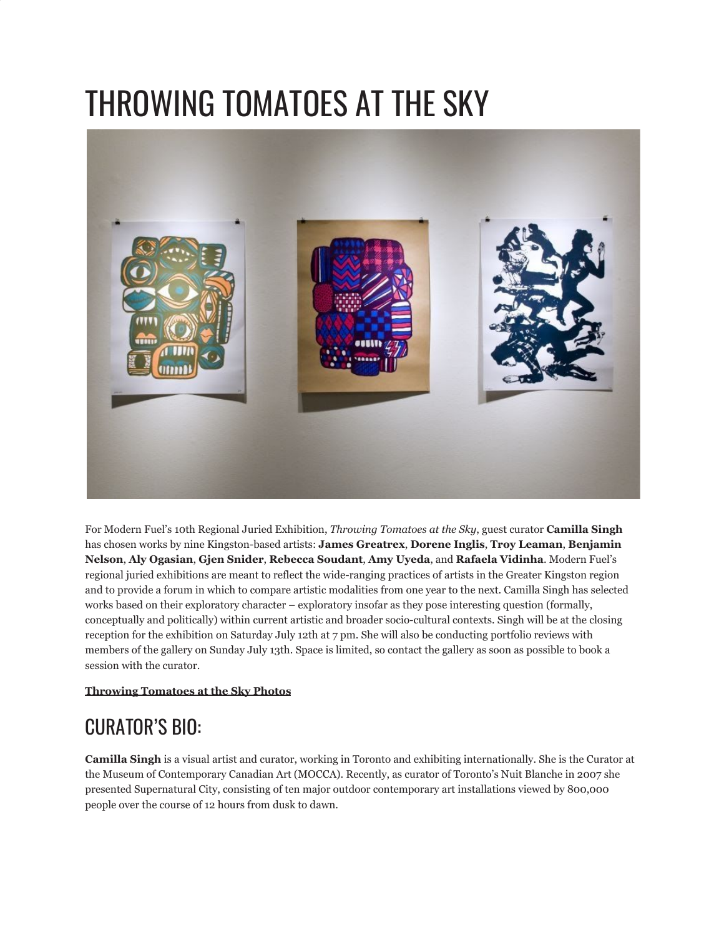## THROWING TOMATOES AT THE SKY



For Modern Fuel's 10th Regional Juried Exhibition, *Throwing Tomatoes at the Sky*, guest curator **Camilla Singh** has chosen works by nine Kingston-based artists: **James Greatrex**, **Dorene Inglis**, **Troy Leaman**, **Benjamin Nelson**, **Aly Ogasian**, **Gjen Snider**, **Rebecca Soudant**, **Amy Uyeda**, and **Rafaela Vidinha**. Modern Fuel's regional juried exhibitions are meant to reflect the wide-ranging practices of artists in the Greater Kingston region and to provide a forum in which to compare artistic modalities from one year to the next. Camilla Singh has selected works based on their exploratory character – exploratory insofar as they pose interesting question (formally, conceptually and politically) within current artistic and broader socio-cultural contexts. Singh will be at the closing reception for the exhibition on Saturday July 12th at 7 pm. She will also be conducting portfolio reviews with members of the gallery on Sunday July 13th. Space is limited, so contact the gallery as soon as possible to book a session with the curator.

## **[Throwing Tomatoes at the Sky Photos](http://www.flickr.com/photos/modernfuel/sets/72157606560928909/)**

## CURATOR'S BIO:

**Camilla Singh** is a visual artist and curator, working in Toronto and exhibiting internationally. She is the Curator at the Museum of Contemporary Canadian Art (MOCCA). Recently, as curator of Toronto's Nuit Blanche in 2007 she presented Supernatural City, consisting of ten major outdoor contemporary art installations viewed by 800,000 people over the course of 12 hours from dusk to dawn.